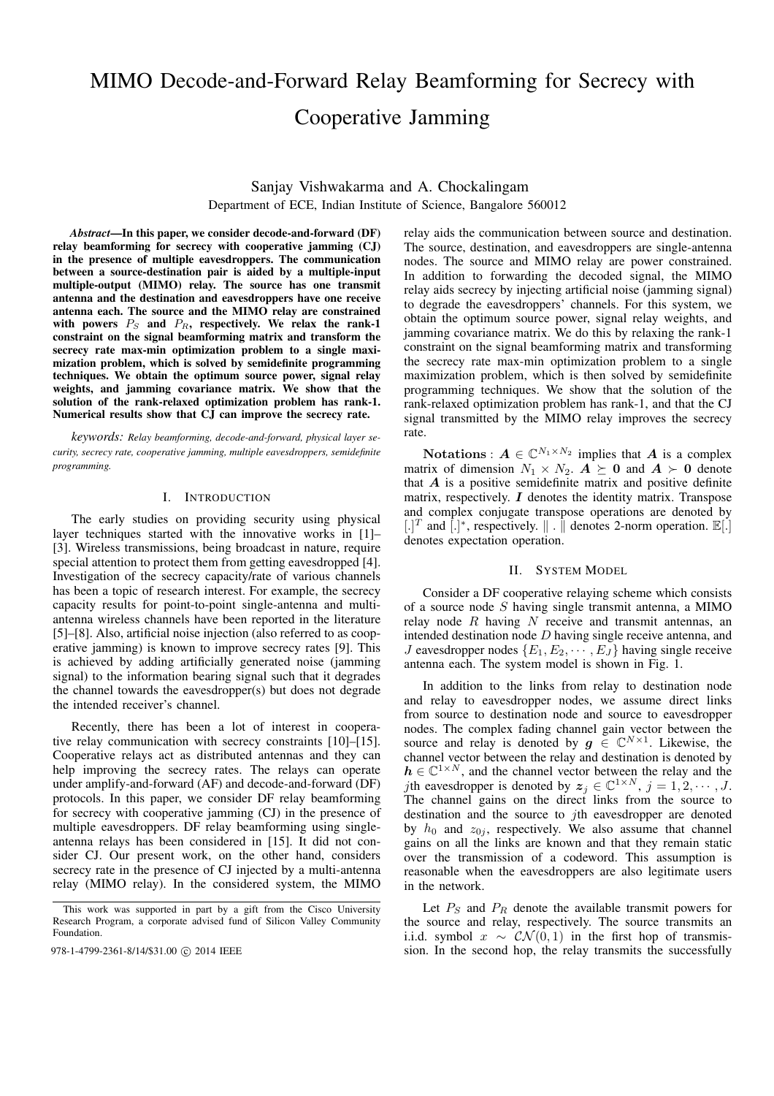# MIMO Decode-and-Forward Relay Beamforming for Secrecy with Cooperative Jamming

Sanjay Vishwakarma and A. Chockalingam Department of ECE, Indian Institute of Science, Bangalore 560012

*Abstract***—In this paper, we consider decode-and-forward (DF) relay beamforming for secrecy with cooperative jamming (CJ) in the presence of multiple eavesdroppers. The communication between a source-destination pair is aided by a multiple-input multiple-output (MIMO) relay. The source has one transmit antenna and the destination and eavesdroppers have one receive antenna each. The source and the MIMO relay are constrained** with powers  $P_S$  and  $P_R$ , respectively. We relax the rank-1 **constraint on the signal beamforming matrix and transform the secrecy rate max-min optimization problem to a single maximization problem, which is solved by semidefinite programming techniques. We obtain the optimum source power, signal relay weights, and jamming covariance matrix. We show that the solution of the rank-relaxed optimization problem has rank-1. Numerical results show that CJ can improve the secrecy rate.**

*keywords: Relay beamforming, decode-and-forward, physical layer security, secrecy rate, cooperative jamming, multiple eavesdroppers, semidefinite programming.*

# I. INTRODUCTION

The early studies on providing security using physical layer techniques started with the innovative works in [1]– [3]. Wireless transmissions, being broadcast in nature, require special attention to protect them from getting eavesdropped [4]. Investigation of the secrecy capacity/rate of various channels has been a topic of research interest. For example, the secrecy capacity results for point-to-point single-antenna and multiantenna wireless channels have been reported in the literature [5]–[8]. Also, artificial noise injection (also referred to as cooperative jamming) is known to improve secrecy rates [9]. This is achieved by adding artificially generated noise (jamming signal) to the information bearing signal such that it degrades the channel towards the eavesdropper(s) but does not degrade the intended receiver's channel.

Recently, there has been a lot of interest in cooperative relay communication with secrecy constraints [10]–[15]. Cooperative relays act as distributed antennas and they can help improving the secrecy rates. The relays can operate under amplify-and-forward (AF) and decode-and-forward (DF) protocols. In this paper, we consider DF relay beamforming for secrecy with cooperative jamming (CJ) in the presence of multiple eavesdroppers. DF relay beamforming using singleantenna relays has been considered in [15]. It did not consider CJ. Our present work, on the other hand, considers secrecy rate in the presence of CJ injected by a multi-antenna relay (MIMO relay). In the considered system, the MIMO

relay aids the communication between source and destination. The source, destination, and eavesdroppers are single-antenna nodes. The source and MIMO relay are power constrained. In addition to forwarding the decoded signal, the MIMO relay aids secrecy by injecting artificial noise (jamming signal) to degrade the eavesdroppers' channels. For this system, we obtain the optimum source power, signal relay weights, and jamming covariance matrix. We do this by relaxing the rank-1 constraint on the signal beamforming matrix and transforming the secrecy rate max-min optimization problem to a single maximization problem, which is then solved by semidefinite programming techniques. We show that the solution of the rank-relaxed optimization problem has rank-1, and that the CJ signal transmitted by the MIMO relay improves the secrecy rate.

**Notations** :  $A \in \mathbb{C}^{N_1 \times N_2}$  implies that A is a complex matrix of dimension  $N_1 \times N_2$ .  $\mathbf{A} \succeq \mathbf{0}$  and  $\mathbf{A} \succ \mathbf{0}$  denote that  $A$  is a positive semidefinite matrix and positive definite matrix, respectively.  $I$  denotes the identity matrix. Transpose and complex conjugate transpose operations are denoted by [.]<sup>T</sup> and  $\left[ . \right]$ <sup>\*</sup>, respectively.  $\| . \|$  denotes 2-norm operation.  $\mathbb{E} [.]$ denotes expectation operation.

#### II. SYSTEM MODEL

Consider a DF cooperative relaying scheme which consists of a source node  $S$  having single transmit antenna, a MIMO relay node  $R$  having  $N$  receive and transmit antennas, an intended destination node  $D$  having single receive antenna, and *J* eavesdropper nodes  ${E_1, E_2, \cdots, E_J}$  having single receive antenna each. The system model is shown in Fig. 1.

In addition to the links from relay to destination node and relay to eavesdropper nodes, we assume direct links from source to destination node and source to eavesdropper nodes. The complex fading channel gain vector between the source and relay is denoted by  $g \in \mathbb{C}^{N \times 1}$ . Likewise, the channel vector between the relay and destination is denoted by  $h \in \mathbb{C}^{1 \times N}$ , and the channel vector between the relay and the *j*th eavesdropper is denoted by  $z_j \in \mathbb{C}^{1 \times N}$ ,  $j = 1, 2, \dots, J$ . The channel gains on the direct links from the source to destination and the source to  $j$ th eavesdropper are denoted by  $h_0$  and  $z_{0i}$ , respectively. We also assume that channel gains on all the links are known and that they remain static over the transmission of a codeword. This assumption is reasonable when the eavesdroppers are also legitimate users in the network.

Let  $P_S$  and  $P_R$  denote the available transmit powers for the source and relay, respectively. The source transmits an i.i.d. symbol  $x \sim \mathcal{CN}(0, 1)$  in the first hop of transmis-978-1-4799-2361-8/14/\$31.00 C 2014 IEEE sion. In the second hop, the relay transmits the successfully

This work was supported in part by a gift from the Cisco University Research Program, a corporate advised fund of Silicon Valley Community Foundation.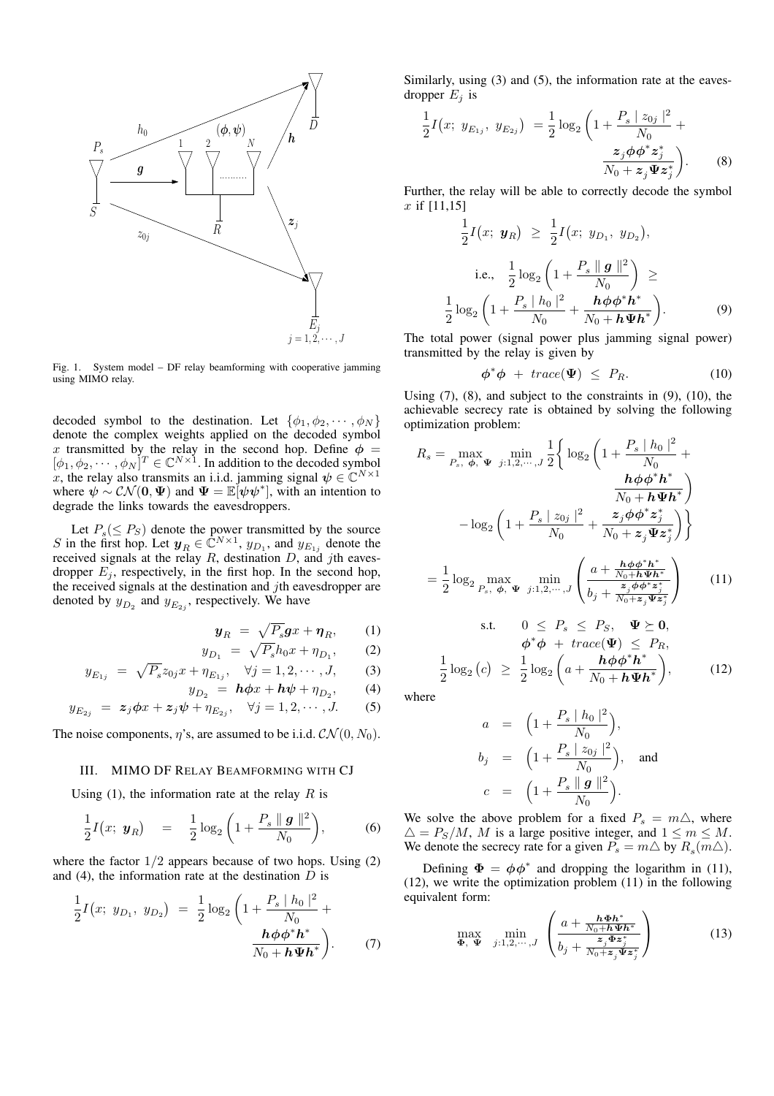

Fig. 1. System model – DF relay beamforming with cooperative jamming using MIMO relay.

decoded symbol to the destination. Let  $\{\phi_1, \phi_2, \cdots, \phi_N\}$ denote the complex weights applied on the decoded symbol x transmitted by the relay in the second hop. Define  $\phi =$  $[\phi_1, \phi_2, \cdots, \phi_N]^T \in \mathbb{C}^{N \times 1}$ . In addition to the decoded symbol x, the relay also transmits an i.i.d. jamming signal  $\psi \in \mathbb{C}^{N \times 1}$ where  $\psi \sim \mathcal{CN}(\mathbf{0}, \Psi)$  and  $\Psi = \mathbb{E}[\psi \psi^*]$ , with an intention to degrade the links towards the eavesdroppers.

Let  $P_s(\leq P_S)$  denote the power transmitted by the source S in the first hop. Let  $y_R \in \mathbb{C}^{N \times 1}$ ,  $y_{D_1}$ , and  $y_{E_{1j}}$  denote the received signals at the relay  $R$ , destination  $D$ , and jth eavesdropper  $E_i$ , respectively, in the first hop. In the second hop, the received signals at the destination and  $j$ th eavesdropper are denoted by  $y_{D_2}$  and  $y_{E_{2i}}$ , respectively. We have

$$
\mathbf{y}_R = \sqrt{P_s} \mathbf{g} x + \mathbf{\eta}_R, \qquad (1)
$$

$$
y_D = \sqrt{P_s} h_0 x + \eta_D, \qquad (2)
$$

$$
y_{E_{1i}} = \sqrt{P_s} z_{0j} x + \eta_{E_{1i}}, \quad \forall j = 1, 2, \cdots, J, \quad (3)
$$

$$
y_{D_0} = h\phi x + h\psi + \eta_{D_0}, \qquad (4)
$$

$$
y_{E_{2j}} = z_j \phi x + z_j \psi + \eta_{E_{2j}}, \quad \forall j = 1, 2, \dots, J. \tag{5}
$$

The noise components,  $\eta$ 's, are assumed to be i.i.d.  $\mathcal{CN}(0, N_0)$ .

## III. MIMO DF RELAY BEAMFORMING WITH CJ

Using (1), the information rate at the relay  $R$  is

$$
\frac{1}{2}I(x; y_R) = \frac{1}{2}\log_2\left(1 + \frac{P_s \|g\|^2}{N_0}\right), \quad (6)
$$

where the factor  $1/2$  appears because of two hops. Using  $(2)$ and (4), the information rate at the destination  $D$  is

$$
\frac{1}{2}I(x; y_{D_1}, y_{D_2}) = \frac{1}{2}\log_2\left(1 + \frac{P_s \mid h_0 \mid^2}{N_0} + \frac{h\phi\phi^* h^*}{N_0 + h\Psi h^*}\right).
$$
\n(7)

Similarly, using (3) and (5), the information rate at the eavesdropper  $E_i$  is

$$
\frac{1}{2}I(x; y_{E_{1j}}, y_{E_{2j}}) = \frac{1}{2}\log_2\left(1 + \frac{P_s |z_{0j}|^2}{N_0} + \frac{z_j \phi \phi^* z_j^*}{N_0 + z_j \Psi z_j^*}\right).
$$
\n(8)

Further, the relay will be able to correctly decode the symbol  $x$  if  $[11,15]$ 

$$
\frac{1}{2}I(x; y_R) \ge \frac{1}{2}I(x; y_{D_1}, y_{D_2}),
$$
  
i.e., 
$$
\frac{1}{2}\log_2\left(1 + \frac{P_s \|g\|^2}{N_0}\right) \ge
$$

$$
\frac{1}{2}\log_2\left(1 + \frac{P_s |h_0|^2}{N_0} + \frac{h\phi\phi^*h^*}{N_0 + h\Psi h^*}\right).
$$
(9)

The total power (signal power plus jamming signal power) transmitted by the relay is given by

$$
\phi^*\phi + trace(\Psi) \le P_R. \tag{10}
$$

 $\overline{2}$ 

Using (7), (8), and subject to the constraints in (9), (10), the achievable secrecy rate is obtained by solving the following optimization problem:

$$
R_s = \max_{P_s, \phi, \Psi} \min_{j:1,2,\dots,J} \frac{1}{2} \left\{ \log_2 \left( 1 + \frac{P_s \mid h_0 \mid^2}{N_0} + \frac{h\phi\phi^* h^*}{N_0 + h\Psi h^*} \right) \right\}
$$

$$
- \log_2 \left( 1 + \frac{P_s \mid z_{0j} \mid^2}{N_0} + \frac{z_j \phi\phi^* z_j^*}{N_0 + z_j \Psi z_j^*} \right) \right\}
$$

$$
= \frac{1}{2} \log_2 \max_{P_s, \phi, \Psi} \min_{j:1,2,\dots,J} \left( \frac{a + \frac{h\phi\phi^* h^*}{N_0 + h\Psi h^*}}{b_j + \frac{z_j \phi\phi^* z_j^*}{N_0 + z_j \Psi z_j^*}} \right) \qquad (11)
$$
s.t.  $0 \le P_s \le P_S, \Psi \succeq 0,$ 

$$
\phi^* \overline{\phi} + trace(\overline{\Psi}) \le P_R,
$$
  

$$
\frac{1}{2} \log_2 (c) \ge \frac{1}{2} \log_2 \left( a + \frac{h \phi \phi^* h^*}{N_0 + h \Psi h^*} \right), \tag{12}
$$

where

$$
a = \left(1 + \frac{P_s \mid h_0 \mid^2}{N_0}\right),
$$
  
\n
$$
b_j = \left(1 + \frac{P_s \mid z_{0j} \mid^2}{N_0}\right),
$$
 and  
\n
$$
c = \left(1 + \frac{P_s \parallel g \parallel^2}{N_0}\right).
$$

We solve the above problem for a fixed  $P_s = m\Delta$ , where  $\Delta = P_S/M$ , M is a large positive integer, and  $1 \le m \le M$ . We denote the secrecy rate for a given  $\overline{P_s} = m \triangle$  by  $\overline{R_s(m \triangle)}$ .

Defining  $\Phi = \phi \phi^*$  and dropping the logarithm in (11), (12), we write the optimization problem (11) in the following equivalent form:

$$
\max_{\mathbf{\Phi}, \mathbf{\Psi}} \min_{j:1,2,\cdots,J} \left( \frac{a + \frac{\mathbf{h} \mathbf{\Phi} \mathbf{h}^*}{N_0 + \mathbf{h} \mathbf{\Psi} \mathbf{h}^*}}{b_j + \frac{\mathbf{z}_j \mathbf{\Phi} \mathbf{z}_j^*}{N_0 + \mathbf{z}_j \mathbf{\Psi} \mathbf{z}_j^*}} \right)
$$
(13)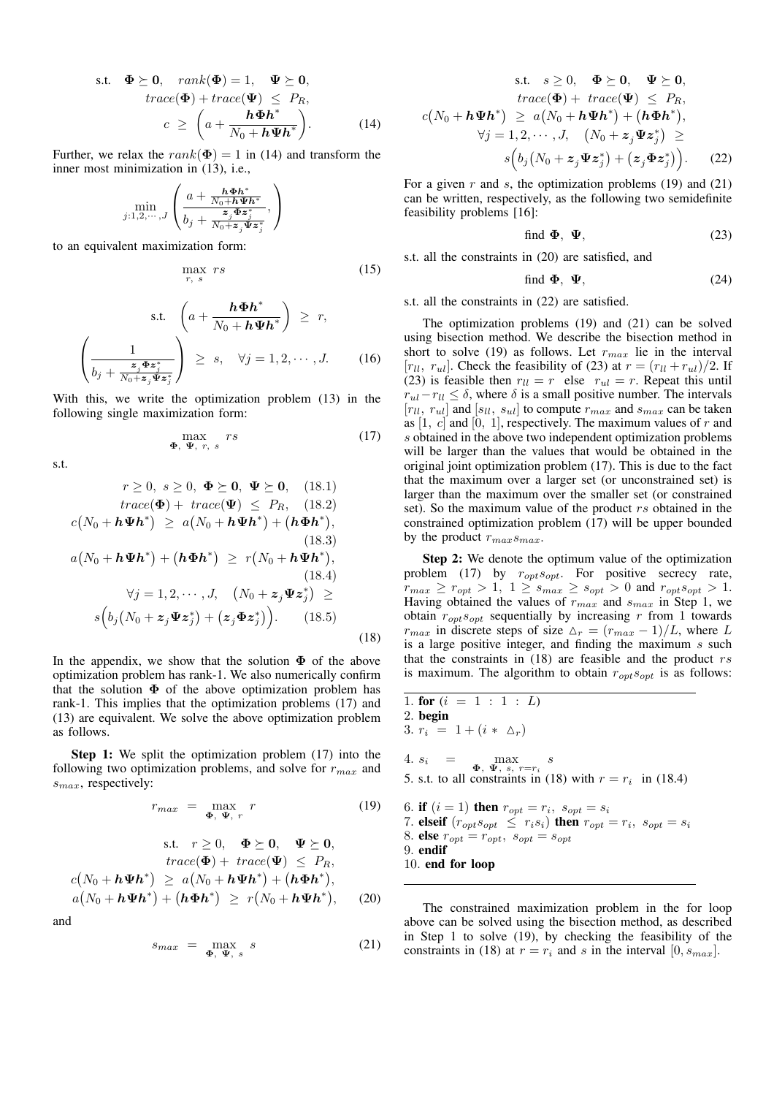s.t. 
$$
\Phi \geq 0
$$
,  $rank(\Phi) = 1$ ,  $\Psi \geq 0$ ,  
\n $trace(\Phi) + trace(\Psi) \leq P_R$ ,  
\n $c \geq \left(a + \frac{h\Phi h^*}{N_0 + h\Psi h^*}\right)$ . (14)

Further, we relax the  $rank(\Phi) = 1$  in (14) and transform the inner most minimization in (13), i.e.,

$$
\min_{j:1,2,\cdots,J} \left( \frac{a + \frac{\mathbf{h} \Phi \mathbf{h}^*}{N_0 + \mathbf{h} \Psi \mathbf{h}^*}}{b_j + \frac{\mathbf{z}_j \Phi \mathbf{z}_j^*}{N_0 + \mathbf{z}_j \Psi \mathbf{z}_j^*}}, \right)
$$

to an equivalent maximization form:

$$
\max_{r, s} rs \tag{15}
$$

 $\max_{\mathbf{\Phi}, \mathbf{\Psi}, r, s} rs$  (17)

$$
\text{s.t.} \quad \left( a + \frac{\mathbf{h} \Phi \mathbf{h}^*}{N_0 + \mathbf{h} \Psi \mathbf{h}^*} \right) \ge r,
$$
\n
$$
\left( \frac{1}{b_j + \frac{z_j \Phi z_j^*}{N_0 + z_j \Psi z_j^*}} \right) \ge s, \quad \forall j = 1, 2, \cdots, J. \tag{16}
$$

With this, we write the optimization problem (13) in the following single maximization form:

s.t.

 $c($ 

$$
r \geq 0, \ s \geq 0, \ \Phi \succeq \mathbf{0}, \ \Psi \succeq \mathbf{0}, \ \ (18.1)
$$
  
\n
$$
trace(\Phi) + trace(\Psi) \leq P_R, \ \ (18.2)
$$
  
\n
$$
c(N_0 + h\Psi h^*) \geq a(N_0 + h\Psi h^*) + (h\Phi h^*),
$$
  
\n
$$
(18.3)
$$
  
\n
$$
a(N_0 + h\Psi h^*) + (h\Phi h^*) \geq r(N_0 + h\Psi h^*),
$$
  
\n
$$
(18.4)
$$
  
\n
$$
\forall j = 1, 2, \cdots, J, \ \ (N_0 + z_j \Psi z_j^*) \geq
$$
  
\n
$$
s(b_j(N_0 + z_j \Psi z_j^*) + (z_j \Phi z_j^*)). \ \ (18.5)
$$

In the appendix, we show that the solution  $\Phi$  of the above optimization problem has rank-1. We also numerically confirm that the solution  $\Phi$  of the above optimization problem has rank-1. This implies that the optimization problems (17) and (13) are equivalent. We solve the above optimization problem as follows.

**Step 1:** We split the optimization problem  $(17)$  into the following two optimization problems, and solve for  $r_{max}$  and  $s_{max}$ , respectively:

$$
r_{max} = \max_{\mathbf{\Phi}, \ \mathbf{\Psi}, \ r} \ r \tag{19}
$$

s.t. 
$$
r \ge 0
$$
,  $\Phi \ge 0$ ,  $\Psi \ge 0$ ,  
\n
$$
trace(\Phi) + trace(\Psi) \le P_R,
$$
\n
$$
c(N_0 + h\Psi h^*) \ge a(N_0 + h\Psi h^*) + (h\Phi h^*),
$$
\n
$$
a(N_0 + h\Psi h^*) + (h\Phi h^*) \ge r(N_0 + h\Psi h^*),
$$
\n(20)

and

$$
s_{max} = \max_{\Phi, \ \Psi, \ s} s \tag{21}
$$

s.t. 
$$
s \ge 0
$$
,  $\Phi \succeq 0$ ,  $\Psi \succeq 0$ ,  
\n
$$
trace(\Phi) + trace(\Psi) \le P_R,
$$
\n
$$
c(N_0 + h\Psi h^*) \ge a(N_0 + h\Psi h^*) + (h\Phi h^*),
$$
\n
$$
\forall j = 1, 2, \cdots, J, \quad (N_0 + z_j \Psi z_j^*) \ge
$$
\n
$$
s(b_j(N_0 + z_j \Psi z_j^*) + (z_j \Phi z_j^*)). \quad (22)
$$

For a given  $r$  and  $s$ , the optimization problems (19) and (21) can be written, respectively, as the following two semidefinite feasibility problems [16]:

find 
$$
\boldsymbol{\Phi}
$$
,  $\boldsymbol{\Psi}$ , (23)

s.t. all the constraints in (20) are satisfied, and

find 
$$
\boldsymbol{\Phi}
$$
,  $\boldsymbol{\Psi}$ , (24)

s.t. all the constraints in (22) are satisfied.

The optimization problems (19) and (21) can be solved using bisection method. We describe the bisection method in short to solve (19) as follows. Let  $r_{max}$  lie in the interval  $[r_{ll}, r_{ul}]$ . Check the feasibility of (23) at  $r = (r_{ll} + r_{ul})/2$ . If (23) is feasible then  $r_{ll} = r$  else  $r_{ul} = r$ . Repeat this until  $r_{ul} - r_{ll} \le \delta$ , where  $\delta$  is a small positive number. The intervals  $[r_{ll}, r_{ul}]$  and  $[s_{ll}, s_{ul}]$  to compute  $r_{max}$  and  $s_{max}$  can be taken as  $[1, c]$  and  $[0, 1]$ , respectively. The maximum values of  $r$  and s obtained in the above two independent optimization problems will be larger than the values that would be obtained in the original joint optimization problem (17). This is due to the fact that the maximum over a larger set (or unconstrained set) is larger than the maximum over the smaller set (or constrained set). So the maximum value of the product  $rs$  obtained in the constrained optimization problem (17) will be upper bounded by the product  $r_{max}s_{max}$ .

**Step 2:** We denote the optimum value of the optimization problem (17) by  $r_{opt} s_{opt}$ . For positive secrecy rate,  $r_{max} \ge r_{opt} > 1, \ 1 \ge s_{max} \ge s_{opt} > 0 \text{ and } r_{opt}s_{opt} > 1.$ Having obtained the values of  $r_{max}$  and  $s_{max}$  in Step 1, we obtain  $r_{\text{opt}} s_{\text{opt}}$  sequentially by increasing r from 1 towards  $r_{max}$  in discrete steps of size  $\Delta_r = (r_{max} - 1)/L$ , where L is a large positive integer, and finding the maximum  $s$  such that the constraints in  $(18)$  are feasible and the product  $rs$ is maximum. The algorithm to obtain  $r_{opt}s_{opt}$  is as follows:

\n- 1. for 
$$
(i = 1 : 1 : L)
$$
\n- 2. begin
\n- 3.  $r_i = 1 + (i * \Delta_r)$
\n- 4.  $s_i = \max_{\Phi, \Psi, s, r = r_i} s$
\n- 5. s.t. to all constraints in (18) with  $r = r_i$  in (18.4)
\n- 6. if  $(i = 1)$  then  $r_{opt} = r_i$ ,  $s_{opt} = s_i$
\n- 7. elseif  $(r_{opt}s_{opt} \leq r_i s_i)$  then  $r_{opt} = r_i$ ,  $s_{opt} = s_i$
\n- 8. else  $r_{opt} = r_{opt}$ ,  $s_{opt} = s_{opt}$
\n- 9. endif
\n

10. **end for loop**

(18)

The constrained maximization problem in the for loop above can be solved using the bisection method, as described in Step 1 to solve (19), by checking the feasibility of the constraints in (18) at  $r = r_i$  and s in the interval [0,  $s_{max}$ ].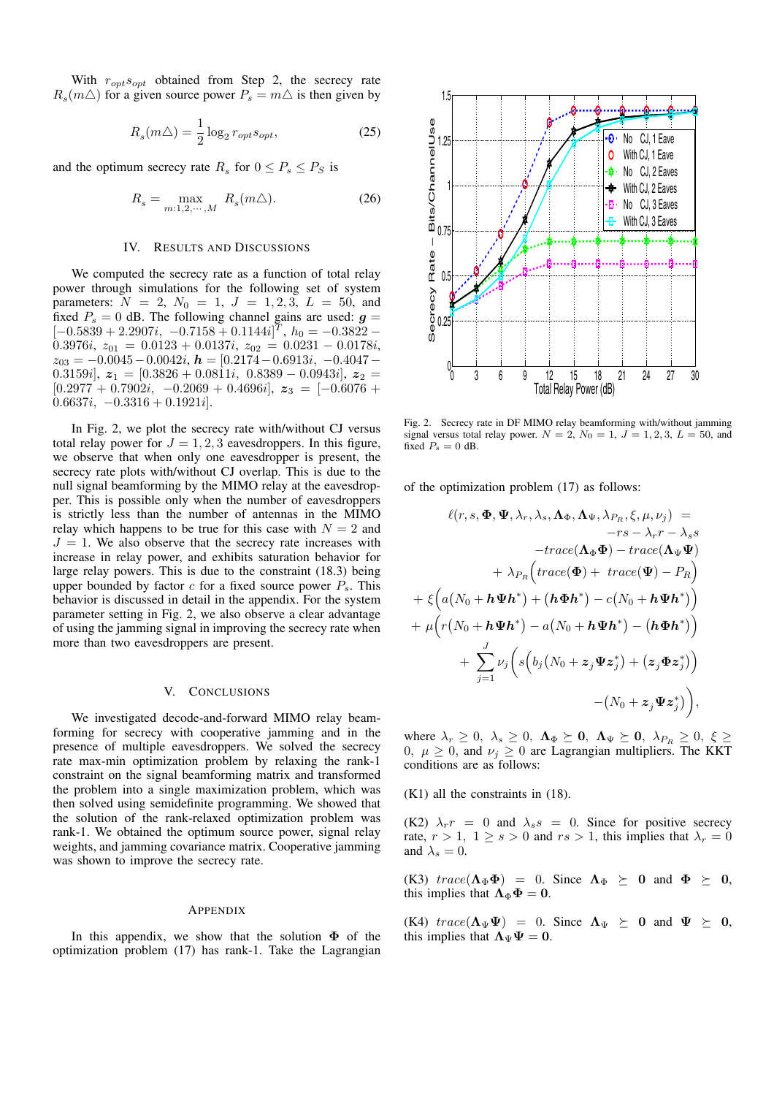With  $r_{opt}s_{opt}$  obtained from Step 2, the secrecy rate  $R_s(m\Delta)$  for a given source power  $P_s = m\Delta$  is then given by

$$
R_s(m\triangle) = \frac{1}{2} \log_2 r_{opt} s_{opt},\tag{25}
$$

and the optimum secrecy rate  $R_s$  for  $0 \le P_s \le P_s$  is

$$
R_s = \max_{m:1,2,\cdots,M} R_s(m\triangle). \tag{26}
$$

# IV. RESULTS AND DISCUSSIONS

We computed the secrecy rate as a function of total relay power through simulations for the following set of system parameters:  $N = 2$ ,  $N_0 = 1$ ,  $J = 1, 2, 3$ ,  $L = 50$ , and fixed  $P_s = 0$  dB. The following channel gains are used:  $g =$  $[-0.5839 + 2.2907i, -0.7158 + 0.1144i]^T$ ,  $h_0 = -0.3822 0.3976i, z_{01} = 0.0123 + 0.0137i, z_{02} = 0.0231 - 0.0178i,$  $z_{03} = -0.0045 - 0.0042i$ ,  $h = [0.2174 - 0.6913i, -0.4047 -$ 0.3159*i*,  $z_1 = [0.3826 + 0.0811i, 0.8389 - 0.0943i], z_2 =$  $[0.2977 + 0.7902i, -0.2069 + 0.4696i], z_3 = [-0.6076 +$  $0.6637i, -0.3316 + 0.1921i$ .

In Fig. 2, we plot the secrecy rate with/without CJ versus total relay power for  $J = 1, 2, 3$  eavesdroppers. In this figure, we observe that when only one eavesdropper is present, the secrecy rate plots with/without CJ overlap. This is due to the null signal beamforming by the MIMO relay at the eavesdropper. This is possible only when the number of eavesdroppers is strictly less than the number of antennas in the MIMO relay which happens to be true for this case with  $N = 2$  and  $J = 1$ . We also observe that the secrecy rate increases with increase in relay power, and exhibits saturation behavior for large relay powers. This is due to the constraint (18.3) being upper bounded by factor  $c$  for a fixed source power  $P_s$ . This behavior is discussed in detail in the appendix. For the system parameter setting in Fig. 2, we also observe a clear advantage of using the jamming signal in improving the secrecy rate when more than two eavesdroppers are present.

### V. CONCLUSIONS

We investigated decode-and-forward MIMO relay beamforming for secrecy with cooperative jamming and in the presence of multiple eavesdroppers. We solved the secrecy rate max-min optimization problem by relaxing the rank-1 constraint on the signal beamforming matrix and transformed the problem into a single maximization problem, which was then solved using semidefinite programming. We showed that the solution of the rank-relaxed optimization problem was rank-1. We obtained the optimum source power, signal relay weights, and jamming covariance matrix. Cooperative jamming was shown to improve the secrecy rate.

#### APPENDIX

In this appendix, we show that the solution **Φ** of the optimization problem (17) has rank-1. Take the Lagrangian



Fig. 2. Secrecy rate in DF MIMO relay beamforming with/without jamming signal versus total relay power.  $N = 2$ ,  $N_0 = 1$ ,  $J = 1, 2, 3$ ,  $L = 50$ , and fixed  $P_s = 0$  dB.

of the optimization problem (17) as follows:

$$
\ell(r, s, \Phi, \Psi, \lambda_r, \lambda_s, \Lambda_{\Phi}, \Lambda_{\Psi}, \lambda_{P_R}, \xi, \mu, \nu_j) =
$$
  
\n
$$
-rs - \lambda_r r - \lambda_s s
$$
  
\n
$$
-trace(\Lambda_{\Phi}\Phi) - trace(\Lambda_{\Psi}\Psi)
$$
  
\n
$$
+ \lambda_{P_R}\lefttrace(\Phi) + trace(\Psi) - P_R\right)
$$
  
\n
$$
+ \xi\left(a(N_0 + h\Psi h^*) + (h\Phi h^*) - c(N_0 + h\Psi h^*)\right)
$$
  
\n
$$
+ \mu\left(r(N_0 + h\Psi h^*) - a(N_0 + h\Psi h^*) - (h\Phi h^*)\right)
$$
  
\n
$$
+ \sum_{j=1}^J \nu_j \left(s\left(b_j(N_0 + z_j\Psi z_j^*) + (z_j\Phi z_j^*)\right) - (N_0 + z_j\Psi z_j^*)\right),
$$

where  $\lambda_r \geq 0$ ,  $\lambda_s \geq 0$ ,  $\Lambda_{\Phi} \succeq 0$ ,  $\Lambda_{\Psi} \succeq 0$ ,  $\lambda_{P_R} \geq 0$ ,  $\xi \geq$ 0,  $\mu \ge 0$ , and  $\nu_j \ge 0$  are Lagrangian multipliers. The KKT conditions are as follows:

(K1) all the constraints in (18).

(K2)  $\lambda_r r = 0$  and  $\lambda_s s = 0$ . Since for positive secrecy rate,  $r > 1$ ,  $1 \ge s > 0$  and  $rs > 1$ , this implies that  $\lambda_r = 0$ and  $\lambda_s = 0$ .

 $(k3)$   $trace(\Lambda_{\Phi}\Phi) = 0$ . Since  $\Lambda_{\Phi} \succeq 0$  and  $\Phi \succeq 0$ , this implies that  $\Lambda_{\Phi} \Phi = 0$ .

 $(K4) \text{trace}(\Lambda_{\Psi}\Psi) = 0.$  Since  $\Lambda_{\Psi} \succeq 0$  and  $\Psi \succeq 0$ , this implies that  $\Lambda_{\Psi} \Psi = 0$ .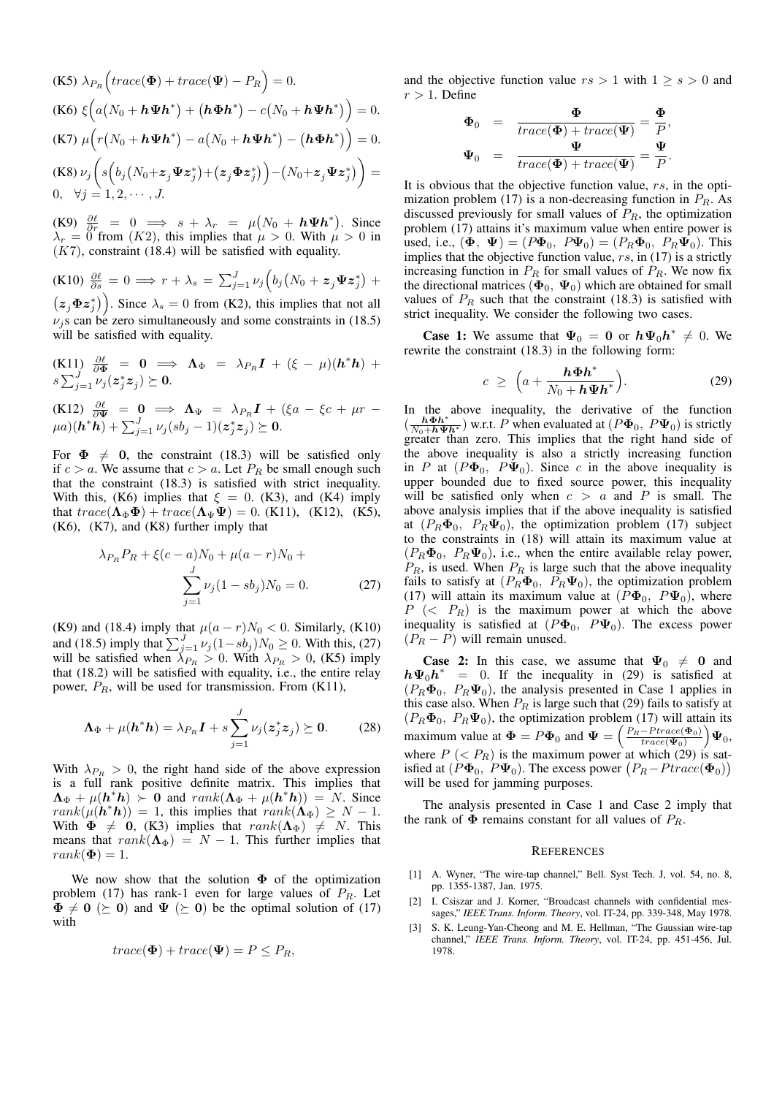(K5) 
$$
\lambda_{P_R}
$$
  $\left( \operatorname{trace}(\mathbf{\Phi}) + \operatorname{trace}(\mathbf{\Psi}) - P_R \right) = 0.$   
\n(K6)  $\xi \left( a(N_0 + h \mathbf{\Psi} h^*) + (h \mathbf{\Phi} h^*) - c(N_0 + h \mathbf{\Psi} h^*) \right) = 0.$   
\n(K7)  $\mu \left( r(N_0 + h \mathbf{\Psi} h^*) - a(N_0 + h \mathbf{\Psi} h^*) - (h \mathbf{\Phi} h^*) \right) = 0.$   
\n(K8)  $\nu_j \left( s \left( b_j (N_0 + z_j \mathbf{\Psi} z_j^*) + (z_j \mathbf{\Phi} z_j^*) \right) - (N_0 + z_j \mathbf{\Psi} z_j^*) \right) = 0, \quad \forall j = 1, 2, \dots, J.$ 

(K9)  $\frac{\partial \ell}{\partial r} = 0 \implies s + \lambda_r = \mu (N_0 + h \Psi h^*).$  Since  $\lambda_r = 0$  from  $(K2)$ , this implies that  $\mu > 0$ . With  $\mu > 0$  in  $(K7)$ , constraint (18.4) will be satisfied with equality.

(K10)  $\frac{\partial \ell}{\partial s} = 0 \implies r + \lambda_s = \sum_{j=1}^{J} \nu_j (b_j (N_0 + z_j \Psi z_j^*) +$  $(z_j \Phi z_j^*)$ . Since  $\lambda_s = 0$  from (K2), this implies that not all  $\nu_i$ s can be zero simultaneously and some constraints in (18.5) will be satisfied with equality.

(K11) 
$$
\frac{\partial \ell}{\partial \Phi} = 0 \implies \Lambda_{\Phi} = \lambda_{P_R} I + (\xi - \mu)(h^* h) +
$$
  
 $s \sum_{j=1}^{J} \nu_j (z_j^* z_j) \succeq 0.$ 

 $(K12)$   $\frac{\partial \ell}{\partial \Psi}$  =  $\mathbf{0}$   $\implies$   $\mathbf{\Lambda}_{\Psi}$  =  $\lambda_{P_R} \mathbf{I} + (\xi a - \xi c + \mu r - \xi c)$  $\mu a)(\boldsymbol{h}^*\tilde{\boldsymbol{h}}) + \sum_{j=1}^J \nu_j (s b_j -1) (\boldsymbol{z}^*_j \boldsymbol{z}_j) \succeq \boldsymbol{0}.$ 

For  $\Phi \neq 0$ , the constraint (18.3) will be satisfied only if  $c > a$ . We assume that  $c > a$ . Let  $P_R$  be small enough such that the constraint (18.3) is satisfied with strict inequality. With this, (K6) implies that  $\xi = 0$ . (K3), and (K4) imply that  $trace(\Lambda_{\Phi}\Phi) + trace(\Lambda_{\Psi}\Psi) = 0$ . (K11), (K12), (K5), (K6), (K7), and (K8) further imply that

$$
\lambda_{P_R} P_R + \xi(c - a)N_0 + \mu(a - r)N_0 + \sum_{j=1}^{J} \nu_j (1 - sb_j)N_0 = 0.
$$
 (27)

(K9) and (18.4) imply that  $\mu(a - r)N_0 < 0$ . Similarly, (K10) and (18.5) imply that  $\sum_{j=1}^{J} \nu_j (1 - s b_j) N_0 \ge 0$ . With this, (27) will be satisfied when  $\lambda_{P_R} > 0$ . With  $\lambda_{P_R} > 0$ , (K5) imply that (18.2) will be satisfied with equality, i.e., the entire relay power,  $P_R$ , will be used for transmission. From (K11),

$$
\Lambda_{\Phi} + \mu(\mathbf{h}^* \mathbf{h}) = \lambda_{P_R} \mathbf{I} + s \sum_{j=1}^{J} \nu_j (z_j^* z_j) \succeq \mathbf{0}.
$$
 (28)

With  $\lambda_{P_B} > 0$ , the right hand side of the above expression is a full rank positive definite matrix. This implies that  $\Lambda_{\Phi} + \mu(h^*h) > 0$  and  $rank(\Lambda_{\Phi} + \mu(h^*h)) = N$ . Since  $rank(\mu(\mathbf{h}^* \mathbf{h})) = 1$ , this implies that  $rank(\mathbf{\Lambda}_{\Phi}) \geq N - 1$ . With  $\Phi \neq 0$ , (K3) implies that  $rank(\Lambda_{\Phi}) \neq N$ . This means that  $rank(\Lambda_{\Phi}) = N - 1$ . This further implies that  $rank(\mathbf{\Phi})=1.$ 

We now show that the solution  $\Phi$  of the optimization problem (17) has rank-1 even for large values of  $P_R$ . Let  $\Phi \neq 0 \ (\succeq 0)$  and  $\Psi \ (\succeq 0)$  be the optimal solution of (17) with

$$
trace(\Phi) + trace(\Psi) = P \le P_R,
$$

and the objective function value  $rs > 1$  with  $1 > s > 0$  and  $r > 1$ . Define

$$
\begin{array}{rcl}\n\Phi_0 & = & \frac{\Phi}{trace(\Phi) + trace(\Psi)} = \frac{\Phi}{P}, \\
\Psi_0 & = & \frac{\Psi}{trace(\Phi) + trace(\Psi)} = \frac{\Psi}{P}.\n\end{array}
$$

It is obvious that the objective function value,  $rs$ , in the optimization problem (17) is a non-decreasing function in  $P_R$ . As discussed previously for small values of  $P_R$ , the optimization problem (17) attains it's maximum value when entire power is used, i.e.,  $(\mathbf{\Phi}, \mathbf{\Psi}) = (P\mathbf{\Phi}_0, P\mathbf{\Psi}_0) = (P_R\mathbf{\Phi}_0, P_R\mathbf{\Psi}_0)$ . This implies that the objective function value,  $rs$ , in (17) is a strictly increasing function in  $P_R$  for small values of  $P_R$ . We now fix the directional matrices  $(\Phi_0, \Psi_0)$  which are obtained for small values of  $P_R$  such that the constraint (18.3) is satisfied with strict inequality. We consider the following two cases.

**Case 1:** We assume that  $\Psi_0 = 0$  or  $h\Psi_0 h^* \neq 0$ . We rewrite the constraint (18.3) in the following form:

$$
c \geq \left(a + \frac{\boldsymbol{h}\boldsymbol{\Phi}\boldsymbol{h}^*}{N_0 + \boldsymbol{h}\boldsymbol{\Psi}\boldsymbol{h}^*}\right).
$$
 (29)

In the above inequality, the derivative of the function  $(\frac{\mathbf{h} \boldsymbol{\Phi} \mathbf{h}^*}{N_0 + \mathbf{h} \boldsymbol{\Psi} \mathbf{h}^*})$  w.r.t. P when evaluated at  $(P\boldsymbol{\Phi}_0, P\boldsymbol{\Psi}_0)$  is strictly greater than zero. This implies that the right hand side of the above inequality is also a strictly increasing function in  $P$  at  $(P\Phi_0, P\Psi_0)$ . Since c in the above inequality is upper bounded due to fixed source power, this inequality will be satisfied only when  $c > a$  and P is small. The above analysis implies that if the above inequality is satisfied at  $(P_R \Phi_0, P_R \Psi_0)$ , the optimization problem (17) subject to the constraints in (18) will attain its maximum value at  $(P_R \Phi_0, P_R \Psi_0)$ , i.e., when the entire available relay power,  $P_R$ , is used. When  $P_R$  is large such that the above inequality fails to satisfy at  $(P_R\Phi_0, P_R\Psi_0)$ , the optimization problem (17) will attain its maximum value at  $(P\Phi_0, P\Psi_0)$ , where  $P \ (< P_R)$  is the maximum power at which the above inequality is satisfied at  $(P\Phi_0, P\Psi_0)$ . The excess power  $(P_R - P)$  will remain unused.

**Case 2:** In this case, we assume that  $\Psi_0 \neq 0$  and  $h\Psi_0 h^* = 0$ . If the inequality in (29) is satisfied at  $(P_R \Phi_0, P_R \Psi_0)$ , the analysis presented in Case 1 applies in this case also. When  $P_R$  is large such that (29) fails to satisfy at  $(P_R \Phi_0, P_R \Psi_0)$ , the optimization problem (17) will attain its maximum value at  $\Phi = P\Phi_0$  and  $\Psi = \left(\frac{P_R - \text{Price}(\Phi_0)}{\text{trace}(\Psi_0)}\right)\Psi_0$ , where  $P \leq P_R$ ) is the maximum power at which (29) is satisfied at  $(P\Phi_0, P\Psi_0)$ . The excess power  $(P_R-Ptrace(\Phi_0))$ will be used for jamming purposes.

The analysis presented in Case 1 and Case 2 imply that the rank of  $\Phi$  remains constant for all values of  $P_R$ .

#### **REFERENCES**

- [1] A. Wyner, "The wire-tap channel," Bell. Syst Tech. J, vol. 54, no. 8, pp. 1355-1387, Jan. 1975.
- [2] I. Csiszar and J. Korner, "Broadcast channels with confidential messages," *IEEE Trans. Inform. Theory*, vol. IT-24, pp. 339-348, May 1978.
- [3] S. K. Leung-Yan-Cheong and M. E. Hellman, "The Gaussian wire-tap channel," *IEEE Trans. Inform. Theory*, vol. IT-24, pp. 451-456, Jul. 1978.